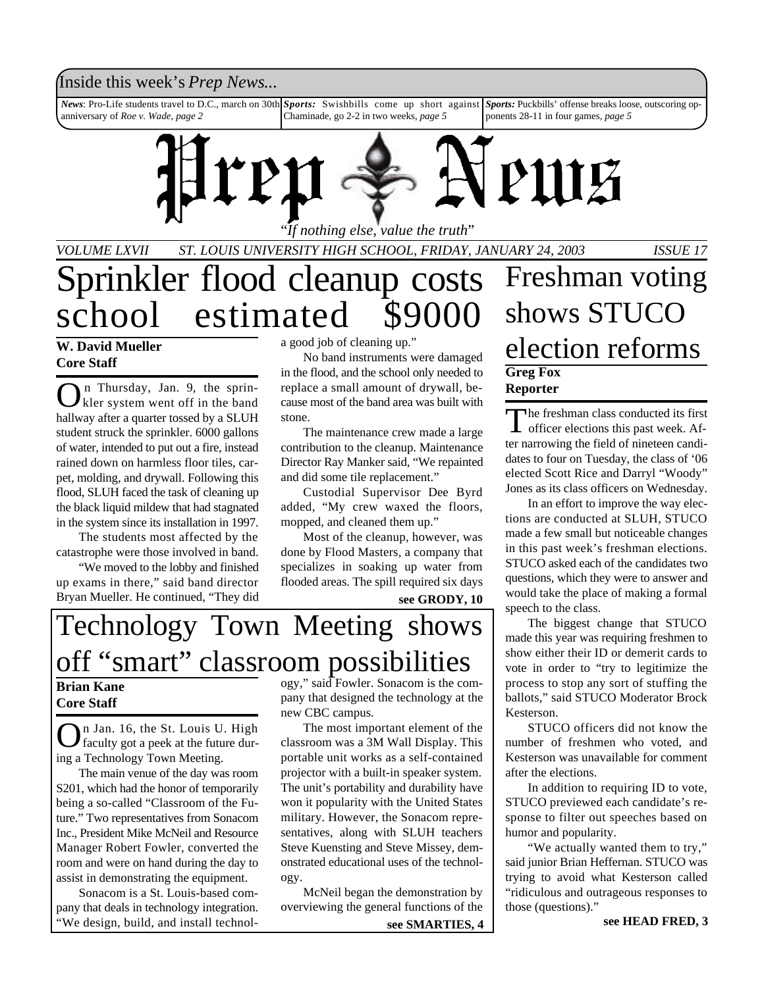### Inside this week's *Prep News*...

*News*: Pro-Life students travel to D.C., march on 30th anniversary of *Roe v. Wade*, *page 2 Sports:* Swishbills come up short against Chaminade, go 2-2 in two weeks, *page 5 Sports:* Puckbills' offense breaks loose, outscoring opponents 28-11 in four games, *page 5*



"*If nothing else, value the truth*"

*VOLUME LXVII ST. LOUIS UNIVERSITY HIGH SCHOOL, FRIDAY, JANUARY 24, 2003 ISSUE 17*

# Sprinkler flood cleanup costs school estimated \$9000

### **W. David Mueller Core Staff**

O n Thursday, Jan. 9, the sprinkler system went off in the band hallway after a quarter tossed by a SLUH student struck the sprinkler. 6000 gallons of water, intended to put out a fire, instead rained down on harmless floor tiles, carpet, molding, and drywall. Following this flood, SLUH faced the task of cleaning up the black liquid mildew that had stagnated in the system since its installation in 1997.

The students most affected by the catastrophe were those involved in band.

"We moved to the lobby and finished up exams in there," said band director Bryan Mueller. He continued, "They did a good job of cleaning up."

No band instruments were damaged in the flood, and the school only needed to replace a small amount of drywall, because most of the band area was built with stone.

The maintenance crew made a large contribution to the cleanup. Maintenance Director Ray Manker said, "We repainted and did some tile replacement."

Custodial Supervisor Dee Byrd added, "My crew waxed the floors, mopped, and cleaned them up."

Most of the cleanup, however, was done by Flood Masters, a company that specializes in soaking up water from flooded areas. The spill required six days

### **see GRODY, 10**

# Technology Town Meeting shows off "smart" classroom possibilities

### **Brian Kane Core Staff**

O n Jan. 16, the St. Louis U. High faculty got a peek at the future during a Technology Town Meeting.

The main venue of the day was room S201, which had the honor of temporarily being a so-called "Classroom of the Future." Two representatives from Sonacom Inc., President Mike McNeil and Resource Manager Robert Fowler, converted the room and were on hand during the day to assist in demonstrating the equipment.

Sonacom is a St. Louis-based company that deals in technology integration. "We design, build, and install technology," said Fowler. Sonacom is the company that designed the technology at the new CBC campus.

The most important element of the classroom was a 3M Wall Display. This portable unit works as a self-contained projector with a built-in speaker system. The unit's portability and durability have won it popularity with the United States military. However, the Sonacom representatives, along with SLUH teachers Steve Kuensting and Steve Missey, demonstrated educational uses of the technology.

McNeil began the demonstration by overviewing the general functions of the

### **see SMARTIES, 4**

## **Greg Fox Reporter** Freshman voting shows STUCO election reforms

The freshman class conducted its first<br>officer elections this past week. Afhe freshman class conducted its first ter narrowing the field of nineteen candidates to four on Tuesday, the class of '06 elected Scott Rice and Darryl "Woody" Jones as its class officers on Wednesday.

In an effort to improve the way elections are conducted at SLUH, STUCO made a few small but noticeable changes in this past week's freshman elections. STUCO asked each of the candidates two questions, which they were to answer and would take the place of making a formal speech to the class.

The biggest change that STUCO made this year was requiring freshmen to show either their ID or demerit cards to vote in order to "try to legitimize the process to stop any sort of stuffing the ballots," said STUCO Moderator Brock Kesterson.

STUCO officers did not know the number of freshmen who voted, and Kesterson was unavailable for comment after the elections.

In addition to requiring ID to vote, STUCO previewed each candidate's response to filter out speeches based on humor and popularity.

"We actually wanted them to try," said junior Brian Heffernan. STUCO was trying to avoid what Kesterson called "ridiculous and outrageous responses to those (questions)."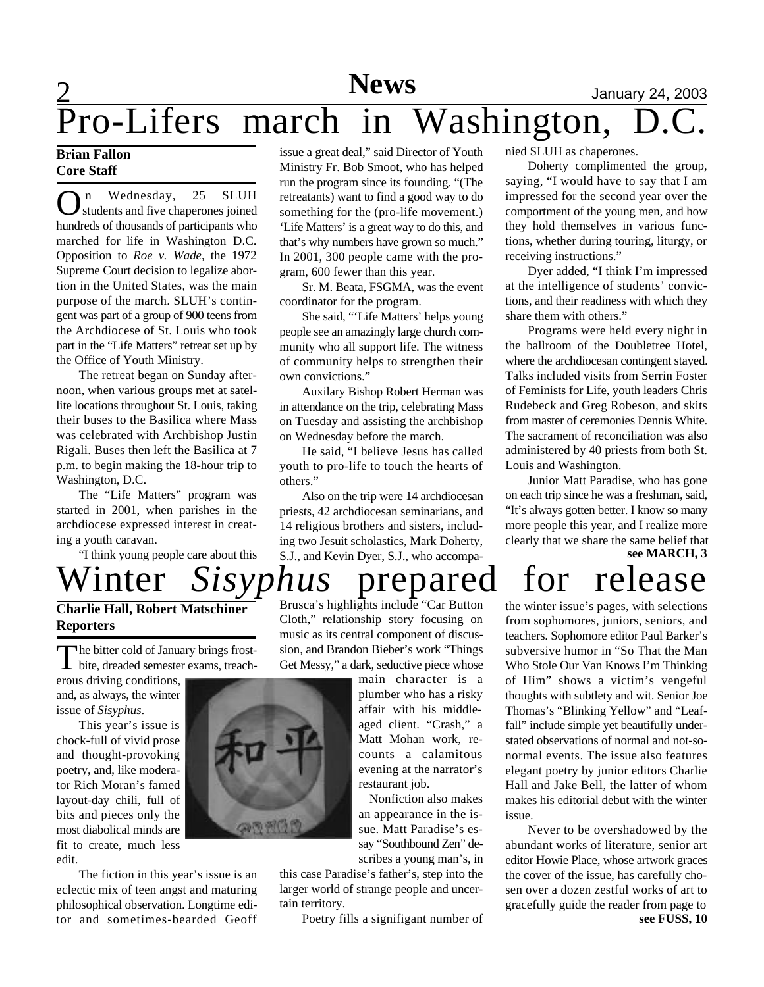# 2 **News** January 24, 2003

 $\overline{\text{Pro-Lifers} \text{ march} \text{ in Washington}}$ ,

### **Brian Fallon Core Staff**

 $\sum_{n=1}^{\infty}$  SLUH students and five chaperones joined n Wednesday, 25 SLUH hundreds of thousands of participants who marched for life in Washington D.C. Opposition to *Roe v. Wade*, the 1972 Supreme Court decision to legalize abortion in the United States, was the main purpose of the march. SLUH's contingent was part of a group of 900 teens from the Archdiocese of St. Louis who took part in the "Life Matters" retreat set up by the Office of Youth Ministry.

The retreat began on Sunday afternoon, when various groups met at satellite locations throughout St. Louis, taking their buses to the Basilica where Mass was celebrated with Archbishop Justin Rigali. Buses then left the Basilica at 7 p.m. to begin making the 18-hour trip to Washington, D.C.

The "Life Matters" program was started in 2001, when parishes in the archdiocese expressed interest in creating a youth caravan.

"I think young people care about this

### issue a great deal," said Director of Youth Ministry Fr. Bob Smoot, who has helped run the program since its founding. "(The retreatants) want to find a good way to do something for the (pro-life movement.) 'Life Matters' is a great way to do this, and that's why numbers have grown so much." In 2001, 300 people came with the program, 600 fewer than this year.

Sr. M. Beata, FSGMA, was the event coordinator for the program.

She said, "'Life Matters' helps young people see an amazingly large church community who all support life. The witness of community helps to strengthen their own convictions."

Auxilary Bishop Robert Herman was in attendance on the trip, celebrating Mass on Tuesday and assisting the archbishop on Wednesday before the march.

He said, "I believe Jesus has called youth to pro-life to touch the hearts of others."

Also on the trip were 14 archdiocesan priests, 42 archdiocesan seminarians, and 14 religious brothers and sisters, including two Jesuit scholastics, Mark Doherty, S.J., and Kevin Dyer, S.J., who accompa-

Brusca's highlights include "Car Button Cloth," relationship story focusing on

nied SLUH as chaperones.

Doherty complimented the group, saying, "I would have to say that I am impressed for the second year over the comportment of the young men, and how they hold themselves in various functions, whether during touring, liturgy, or receiving instructions."

Dyer added, "I think I'm impressed at the intelligence of students' convictions, and their readiness with which they share them with others."

Programs were held every night in the ballroom of the Doubletree Hotel, where the archdiocesan contingent stayed. Talks included visits from Serrin Foster of Feminists for Life, youth leaders Chris Rudebeck and Greg Robeson, and skits from master of ceremonies Dennis White. The sacrament of reconciliation was also administered by 40 priests from both St. Louis and Washington.

Junior Matt Paradise, who has gone on each trip since he was a freshman, said, "It's always gotten better. I know so many more people this year, and I realize more clearly that we share the same belief that **see MARCH, 3**

# Winter *Sisyphus* prepared for release

the winter issue's pages, with selections from sophomores, juniors, seniors, and teachers. Sophomore editor Paul Barker's subversive humor in "So That the Man Who Stole Our Van Knows I'm Thinking of Him" shows a victim's vengeful thoughts with subtlety and wit. Senior Joe Thomas's "Blinking Yellow" and "Leaffall" include simple yet beautifully understated observations of normal and not-sonormal events. The issue also features elegant poetry by junior editors Charlie Hall and Jake Bell, the latter of whom makes his editorial debut with the winter issue.

Never to be overshadowed by the abundant works of literature, senior art editor Howie Place, whose artwork graces the cover of the issue, has carefully chosen over a dozen zestful works of art to gracefully guide the reader from page to **see FUSS, 10**

The bitter cold of January brings frost-<br>bite, dreaded semester exams, treachhe bitter cold of January brings frosterous driving conditions,

**Charlie Hall, Robert Matschiner**

and, as always, the winter issue of *Sisyphus*.

**Reporters**

This year's issue is chock-full of vivid prose and thought-provoking poetry, and, like moderator Rich Moran's famed layout-day chili, full of bits and pieces only the most diabolical minds are fit to create, much less edit.

The fiction in this year's issue is an eclectic mix of teen angst and maturing philosophical observation. Longtime editor and sometimes-bearded Geoff music as its central component of discussion, and Brandon Bieber's work "Things Get Messy," a dark, seductive piece whose main character is a

plumber who has a risky affair with his middleaged client. "Crash," a Matt Mohan work, recounts a calamitous

> restaurant job. Nonfiction also makes an appearance in the issue. Matt Paradise's essay "Southbound Zen" describes a young man's, in

evening at the narrator's

this case Paradise's father's, step into the larger world of strange people and uncertain territory.

Poetry fills a signifigant number of

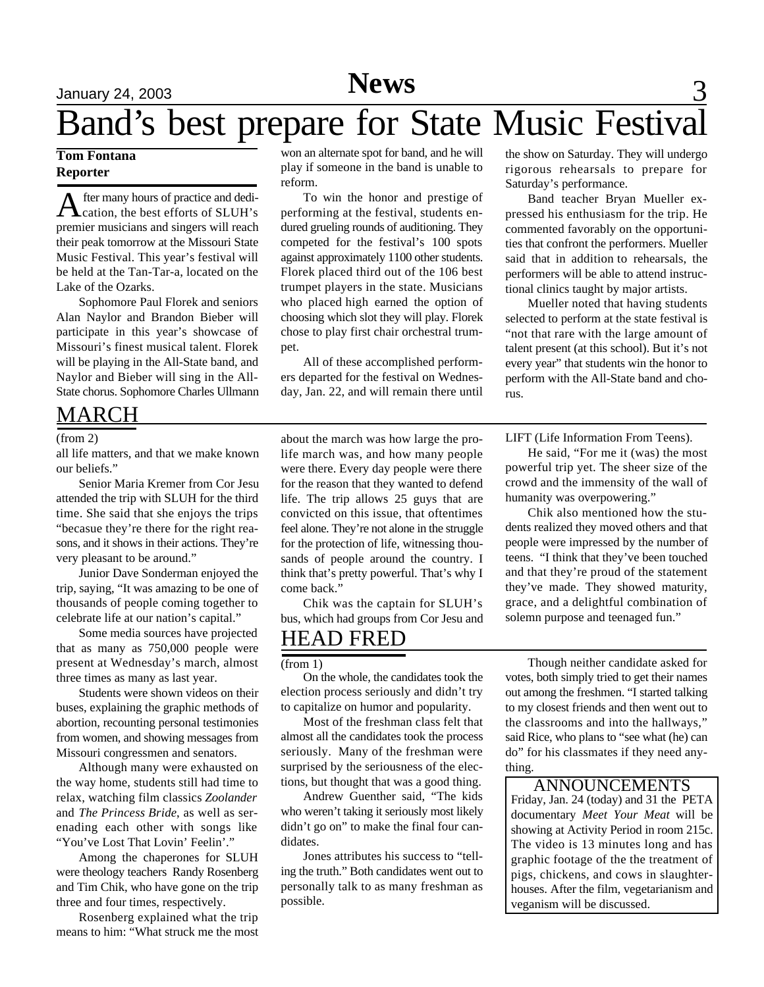# **News** 3 January 24, 2003

# Band's best prepare for State Music Festival

### **Tom Fontana Reporter**

A fter many hours of practice and dedi-<br>cation, the best efforts of SLUH's fter many hours of practice and dedipremier musicians and singers will reach their peak tomorrow at the Missouri State Music Festival. This year's festival will be held at the Tan-Tar-a, located on the Lake of the Ozarks.

Sophomore Paul Florek and seniors Alan Naylor and Brandon Bieber will participate in this year's showcase of Missouri's finest musical talent. Florek will be playing in the All-State band, and Naylor and Bieber will sing in the All-State chorus. Sophomore Charles Ullmann

## MARCH

### (from 2)

all life matters, and that we make known our beliefs."

Senior Maria Kremer from Cor Jesu attended the trip with SLUH for the third time. She said that she enjoys the trips "becasue they're there for the right reasons, and it shows in their actions. They're very pleasant to be around."

Junior Dave Sonderman enjoyed the trip, saying, "It was amazing to be one of thousands of people coming together to celebrate life at our nation's capital."

Some media sources have projected that as many as 750,000 people were present at Wednesday's march, almost three times as many as last year.

Students were shown videos on their buses, explaining the graphic methods of abortion, recounting personal testimonies from women, and showing messages from Missouri congressmen and senators.

Although many were exhausted on the way home, students still had time to relax, watching film classics *Zoolander* and *The Princess Bride*, as well as serenading each other with songs like "You've Lost That Lovin' Feelin'."

Among the chaperones for SLUH were theology teachers Randy Rosenberg and Tim Chik, who have gone on the trip three and four times, respectively.

Rosenberg explained what the trip means to him: "What struck me the most

won an alternate spot for band, and he will play if someone in the band is unable to reform.

To win the honor and prestige of performing at the festival, students endured grueling rounds of auditioning. They competed for the festival's 100 spots against approximately 1100 other students. Florek placed third out of the 106 best trumpet players in the state. Musicians who placed high earned the option of choosing which slot they will play. Florek chose to play first chair orchestral trumpet.

All of these accomplished performers departed for the festival on Wednesday, Jan. 22, and will remain there until

the show on Saturday. They will undergo rigorous rehearsals to prepare for Saturday's performance.

Band teacher Bryan Mueller expressed his enthusiasm for the trip. He commented favorably on the opportunities that confront the performers. Mueller said that in addition to rehearsals, the performers will be able to attend instructional clinics taught by major artists.

Mueller noted that having students selected to perform at the state festival is "not that rare with the large amount of talent present (at this school). But it's not every year" that students win the honor to perform with the All-State band and chorus.

about the march was how large the prolife march was, and how many people were there. Every day people were there for the reason that they wanted to defend life. The trip allows 25 guys that are convicted on this issue, that oftentimes feel alone. They're not alone in the struggle for the protection of life, witnessing thousands of people around the country. I think that's pretty powerful. That's why I come back."

Chik was the captain for SLUH's bus, which had groups from Cor Jesu and

## HEAD FRED

### (from 1)

On the whole, the candidates took the election process seriously and didn't try to capitalize on humor and popularity.

Most of the freshman class felt that almost all the candidates took the process seriously. Many of the freshman were surprised by the seriousness of the elections, but thought that was a good thing.

Andrew Guenther said, "The kids who weren't taking it seriously most likely didn't go on" to make the final four candidates.

Jones attributes his success to "telling the truth." Both candidates went out to personally talk to as many freshman as possible.

LIFT (Life Information From Teens).

He said, "For me it (was) the most powerful trip yet. The sheer size of the crowd and the immensity of the wall of humanity was overpowering."

Chik also mentioned how the students realized they moved others and that people were impressed by the number of teens. "I think that they've been touched and that they're proud of the statement they've made. They showed maturity, grace, and a delightful combination of solemn purpose and teenaged fun."

Though neither candidate asked for votes, both simply tried to get their names out among the freshmen. "I started talking to my closest friends and then went out to the classrooms and into the hallways," said Rice, who plans to "see what (he) can do" for his classmates if they need anything.

### ANNOUNCEMENTS

Friday, Jan. 24 (today) and 31 the PETA documentary *Meet Your Meat* will be showing at Activity Period in room 215c. The video is 13 minutes long and has graphic footage of the the treatment of pigs, chickens, and cows in slaughterhouses. After the film, vegetarianism and veganism will be discussed.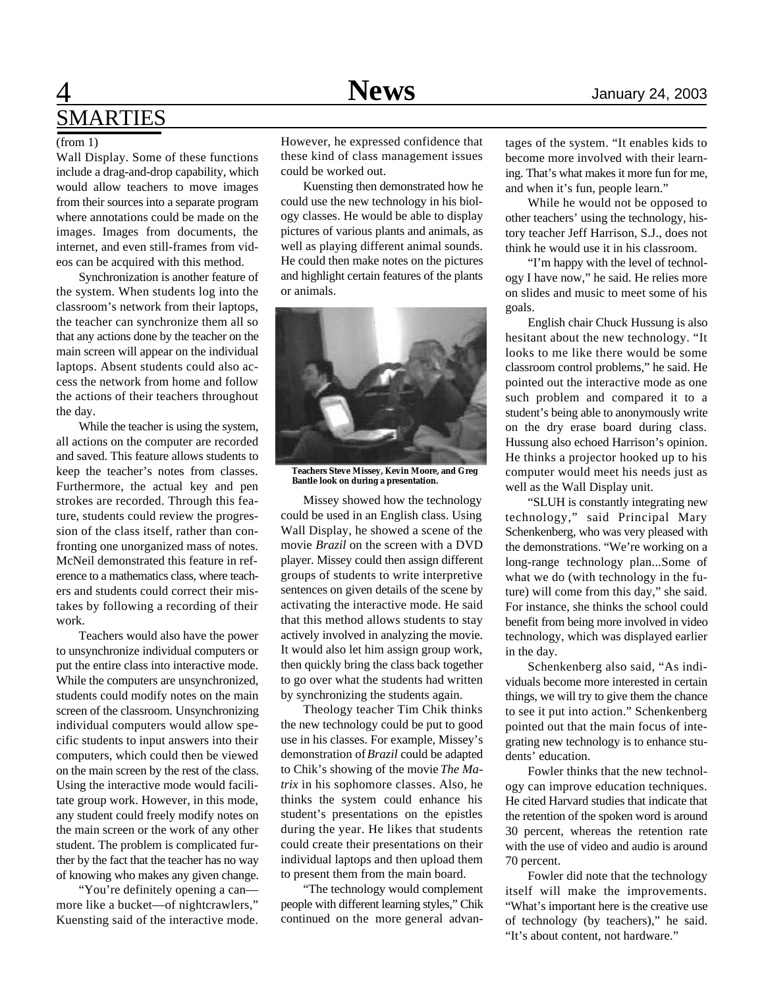## **News**

# 4 **News** January 24, 2003 SMARTIES

### (from 1)

Wall Display. Some of these functions include a drag-and-drop capability, which would allow teachers to move images from their sources into a separate program where annotations could be made on the images. Images from documents, the internet, and even still-frames from videos can be acquired with this method.

Synchronization is another feature of the system. When students log into the classroom's network from their laptops, the teacher can synchronize them all so that any actions done by the teacher on the main screen will appear on the individual laptops. Absent students could also access the network from home and follow the actions of their teachers throughout the day.

While the teacher is using the system, all actions on the computer are recorded and saved. This feature allows students to keep the teacher's notes from classes. Furthermore, the actual key and pen strokes are recorded. Through this feature, students could review the progression of the class itself, rather than confronting one unorganized mass of notes. McNeil demonstrated this feature in reference to a mathematics class, where teachers and students could correct their mistakes by following a recording of their work.

Teachers would also have the power to unsynchronize individual computers or put the entire class into interactive mode. While the computers are unsynchronized, students could modify notes on the main screen of the classroom. Unsynchronizing individual computers would allow specific students to input answers into their computers, which could then be viewed on the main screen by the rest of the class. Using the interactive mode would facilitate group work. However, in this mode, any student could freely modify notes on the main screen or the work of any other student. The problem is complicated further by the fact that the teacher has no way of knowing who makes any given change.

"You're definitely opening a can more like a bucket—of nightcrawlers," Kuensting said of the interactive mode. However, he expressed confidence that these kind of class management issues could be worked out.

Kuensting then demonstrated how he could use the new technology in his biology classes. He would be able to display pictures of various plants and animals, as well as playing different animal sounds. He could then make notes on the pictures and highlight certain features of the plants or animals.



**Teachers Steve Missey, Kevin Moore, and Greg Bantle look on during a presentation.**

Missey showed how the technology could be used in an English class. Using Wall Display, he showed a scene of the movie *Brazil* on the screen with a DVD player. Missey could then assign different groups of students to write interpretive sentences on given details of the scene by activating the interactive mode. He said that this method allows students to stay actively involved in analyzing the movie. It would also let him assign group work, then quickly bring the class back together to go over what the students had written by synchronizing the students again.

Theology teacher Tim Chik thinks the new technology could be put to good use in his classes. For example, Missey's demonstration of *Brazil* could be adapted to Chik's showing of the movie *The Matrix* in his sophomore classes. Also, he thinks the system could enhance his student's presentations on the epistles during the year. He likes that students could create their presentations on their individual laptops and then upload them to present them from the main board.

"The technology would complement people with different learning styles," Chik continued on the more general advan-

tages of the system. "It enables kids to become more involved with their learning. That's what makes it more fun for me, and when it's fun, people learn."

While he would not be opposed to other teachers' using the technology, history teacher Jeff Harrison, S.J., does not think he would use it in his classroom.

"I'm happy with the level of technology I have now," he said. He relies more on slides and music to meet some of his goals.

English chair Chuck Hussung is also hesitant about the new technology. "It looks to me like there would be some classroom control problems," he said. He pointed out the interactive mode as one such problem and compared it to a student's being able to anonymously write on the dry erase board during class. Hussung also echoed Harrison's opinion. He thinks a projector hooked up to his computer would meet his needs just as well as the Wall Display unit.

"SLUH is constantly integrating new technology," said Principal Mary Schenkenberg, who was very pleased with the demonstrations. "We're working on a long-range technology plan...Some of what we do (with technology in the future) will come from this day," she said. For instance, she thinks the school could benefit from being more involved in video technology, which was displayed earlier in the day.

Schenkenberg also said, "As individuals become more interested in certain things, we will try to give them the chance to see it put into action." Schenkenberg pointed out that the main focus of integrating new technology is to enhance students' education.

Fowler thinks that the new technology can improve education techniques. He cited Harvard studies that indicate that the retention of the spoken word is around 30 percent, whereas the retention rate with the use of video and audio is around 70 percent.

Fowler did note that the technology itself will make the improvements. "What's important here is the creative use of technology (by teachers)," he said. "It's about content, not hardware."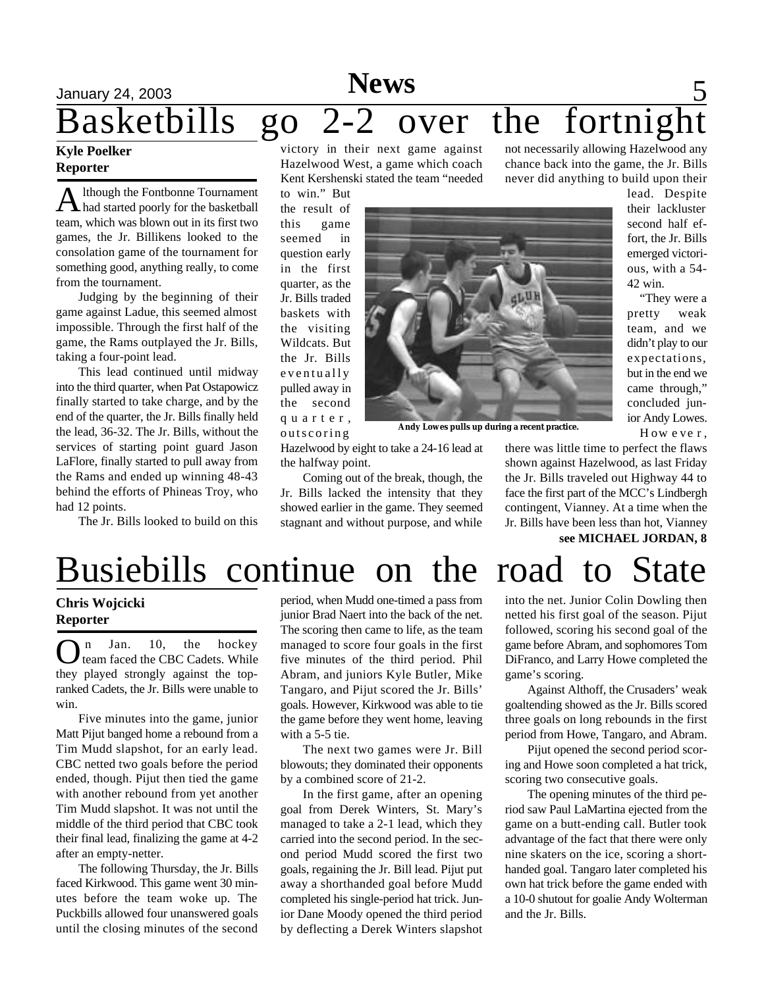## **News** 5 Basketbills go 2-2 over the fortnight not necessarily allowing Hazelwood any

### **Kyle Poelker Reporter**

A lthough the Fontbonne Tournament<br>A had started poorly for the basketball lthough the Fontbonne Tournament team, which was blown out in its first two games, the Jr. Billikens looked to the consolation game of the tournament for something good, anything really, to come from the tournament.

Judging by the beginning of their game against Ladue, this seemed almost impossible. Through the first half of the game, the Rams outplayed the Jr. Bills, taking a four-point lead.

This lead continued until midway into the third quarter, when Pat Ostapowicz finally started to take charge, and by the end of the quarter, the Jr. Bills finally held the lead, 36-32. The Jr. Bills, without the services of starting point guard Jason LaFlore, finally started to pull away from the Rams and ended up winning 48-43 behind the efforts of Phineas Troy, who had 12 points.

The Jr. Bills looked to build on this

victory in their next game against Hazelwood West, a game which coach Kent Kershenski stated the team "needed

to win." But the result of this game seemed in question early in the first quarter, as the Jr. Bills traded baskets with the visiting Wildcats. But the Jr. Bills eventually pulled away in the second q u a r t e r , outscoring



**Andy Lowes pulls up during a recent practice.**

Hazelwood by eight to take a 24-16 lead at the halfway point.

Coming out of the break, though, the Jr. Bills lacked the intensity that they showed earlier in the game. They seemed stagnant and without purpose, and while there was little time to perfect the flaws shown against Hazelwood, as last Friday the Jr. Bills traveled out Highway 44 to face the first part of the MCC's Lindbergh contingent, Vianney. At a time when the Jr. Bills have been less than hot, Vianney **see MICHAEL JORDAN, 8**

chance back into the game, the Jr. Bills never did anything to build upon their

> lead. Despite their lackluster second half effort, the Jr. Bills emerged victorious, with a 54-

"They were a pretty weak team, and we didn't play to our expectations, but in the end we came through," concluded junior Andy Lowes. H ow e ve r ,

42 win.

# Busiebills continue on the road to State

### **Chris Wojcicki Reporter**

O n Jan. 10, the hockey team faced the CBC Cadets. While they played strongly against the topranked Cadets, the Jr. Bills were unable to win.

Five minutes into the game, junior Matt Pijut banged home a rebound from a Tim Mudd slapshot, for an early lead. CBC netted two goals before the period ended, though. Pijut then tied the game with another rebound from yet another Tim Mudd slapshot. It was not until the middle of the third period that CBC took their final lead, finalizing the game at 4-2 after an empty-netter.

The following Thursday, the Jr. Bills faced Kirkwood. This game went 30 minutes before the team woke up. The Puckbills allowed four unanswered goals until the closing minutes of the second

period, when Mudd one-timed a pass from junior Brad Naert into the back of the net. The scoring then came to life, as the team managed to score four goals in the first five minutes of the third period. Phil Abram, and juniors Kyle Butler, Mike Tangaro, and Pijut scored the Jr. Bills' goals. However, Kirkwood was able to tie the game before they went home, leaving with a 5-5 tie.

The next two games were Jr. Bill blowouts; they dominated their opponents by a combined score of 21-2.

In the first game, after an opening goal from Derek Winters, St. Mary's managed to take a 2-1 lead, which they carried into the second period. In the second period Mudd scored the first two goals, regaining the Jr. Bill lead. Pijut put away a shorthanded goal before Mudd completed his single-period hat trick. Junior Dane Moody opened the third period by deflecting a Derek Winters slapshot into the net. Junior Colin Dowling then netted his first goal of the season. Pijut followed, scoring his second goal of the game before Abram, and sophomores Tom DiFranco, and Larry Howe completed the game's scoring.

Against Althoff, the Crusaders' weak goaltending showed as the Jr. Bills scored three goals on long rebounds in the first period from Howe, Tangaro, and Abram.

Pijut opened the second period scoring and Howe soon completed a hat trick, scoring two consecutive goals.

The opening minutes of the third period saw Paul LaMartina ejected from the game on a butt-ending call. Butler took advantage of the fact that there were only nine skaters on the ice, scoring a shorthanded goal. Tangaro later completed his own hat trick before the game ended with a 10-0 shutout for goalie Andy Wolterman and the Jr. Bills.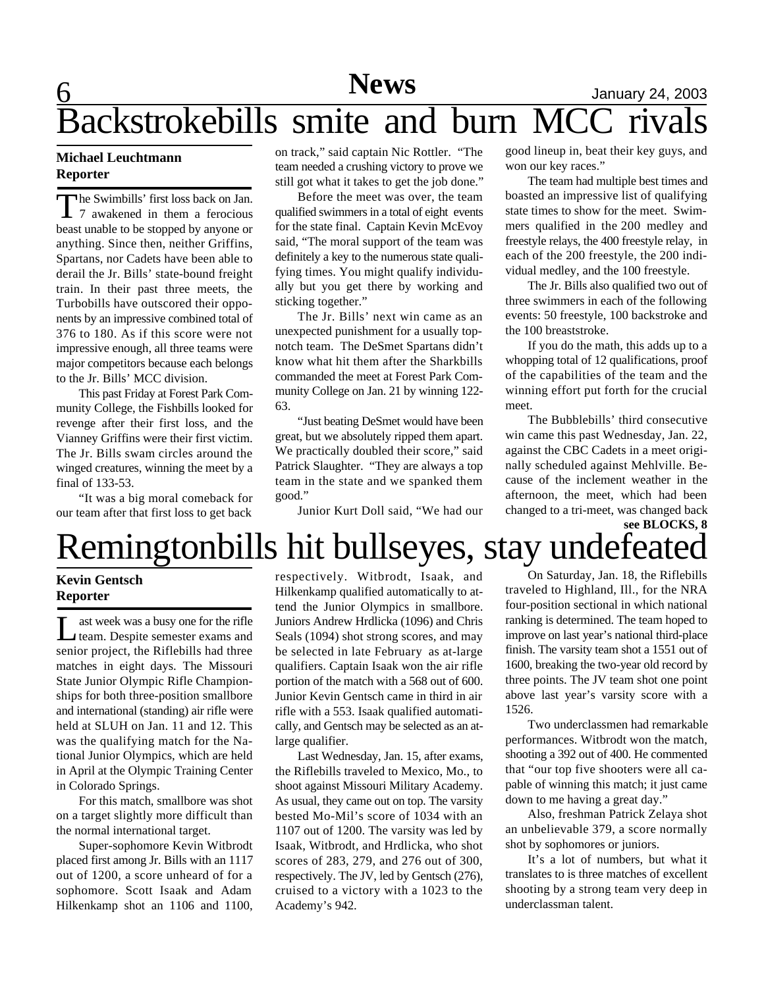# 6 **News** January 24, 2003 Backstrokebills smite and burn MC

### **Michael Leuchtmann Reporter**

The Swimbills' first loss back on Jan.<br>7 awakened in them a ferocious he Swimbills' first loss back on Jan. beast unable to be stopped by anyone or anything. Since then, neither Griffins, Spartans, nor Cadets have been able to derail the Jr. Bills' state-bound freight train. In their past three meets, the Turbobills have outscored their opponents by an impressive combined total of 376 to 180. As if this score were not impressive enough, all three teams were major competitors because each belongs to the Jr. Bills' MCC division.

This past Friday at Forest Park Community College, the Fishbills looked for revenge after their first loss, and the Vianney Griffins were their first victim. The Jr. Bills swam circles around the winged creatures, winning the meet by a final of 133-53.

"It was a big moral comeback for our team after that first loss to get back

on track," said captain Nic Rottler. "The team needed a crushing victory to prove we still got what it takes to get the job done."

Before the meet was over, the team qualified swimmers in a total of eight events for the state final. Captain Kevin McEvoy said, "The moral support of the team was definitely a key to the numerous state qualifying times. You might qualify individually but you get there by working and sticking together."

The Jr. Bills' next win came as an unexpected punishment for a usually topnotch team. The DeSmet Spartans didn't know what hit them after the Sharkbills commanded the meet at Forest Park Community College on Jan. 21 by winning 122- 63.

"Just beating DeSmet would have been great, but we absolutely ripped them apart. We practically doubled their score," said Patrick Slaughter. "They are always a top team in the state and we spanked them good."

Junior Kurt Doll said, "We had our

good lineup in, beat their key guys, and won our key races."

The team had multiple best times and boasted an impressive list of qualifying state times to show for the meet. Swimmers qualified in the 200 medley and freestyle relays, the 400 freestyle relay, in each of the 200 freestyle, the 200 individual medley, and the 100 freestyle.

The Jr. Bills also qualified two out of three swimmers in each of the following events: 50 freestyle, 100 backstroke and the 100 breaststroke.

If you do the math, this adds up to a whopping total of 12 qualifications, proof of the capabilities of the team and the winning effort put forth for the crucial meet.

The Bubblebills' third consecutive win came this past Wednesday, Jan. 22, against the CBC Cadets in a meet originally scheduled against Mehlville. Because of the inclement weather in the afternoon, the meet, which had been changed to a tri-meet, was changed back

## Remingtonbills hit bullseyes, stay undefeated **see BLOCKS, 8**

### **Kevin Gentsch Reporter**

Leam. Despite semester exams and<br>team. Despite semester exams and ast week was a busy one for the rifle senior project, the Riflebills had three matches in eight days. The Missouri State Junior Olympic Rifle Championships for both three-position smallbore and international (standing) air rifle were held at SLUH on Jan. 11 and 12. This was the qualifying match for the National Junior Olympics, which are held in April at the Olympic Training Center in Colorado Springs.

For this match, smallbore was shot on a target slightly more difficult than the normal international target.

Super-sophomore Kevin Witbrodt placed first among Jr. Bills with an 1117 out of 1200, a score unheard of for a sophomore. Scott Isaak and Adam Hilkenkamp shot an 1106 and 1100, respectively. Witbrodt, Isaak, and Hilkenkamp qualified automatically to attend the Junior Olympics in smallbore. Juniors Andrew Hrdlicka (1096) and Chris Seals (1094) shot strong scores, and may be selected in late February as at-large qualifiers. Captain Isaak won the air rifle portion of the match with a 568 out of 600. Junior Kevin Gentsch came in third in air rifle with a 553. Isaak qualified automatically, and Gentsch may be selected as an atlarge qualifier.

Last Wednesday, Jan. 15, after exams, the Riflebills traveled to Mexico, Mo., to shoot against Missouri Military Academy. As usual, they came out on top. The varsity bested Mo-Mil's score of 1034 with an 1107 out of 1200. The varsity was led by Isaak, Witbrodt, and Hrdlicka, who shot scores of 283, 279, and 276 out of 300, respectively. The JV, led by Gentsch (276), cruised to a victory with a 1023 to the Academy's 942.

On Saturday, Jan. 18, the Riflebills traveled to Highland, Ill., for the NRA four-position sectional in which national ranking is determined. The team hoped to improve on last year's national third-place finish. The varsity team shot a 1551 out of 1600, breaking the two-year old record by three points. The JV team shot one point above last year's varsity score with a 1526.

Two underclassmen had remarkable performances. Witbrodt won the match, shooting a 392 out of 400. He commented that "our top five shooters were all capable of winning this match; it just came down to me having a great day."

Also, freshman Patrick Zelaya shot an unbelievable 379, a score normally shot by sophomores or juniors.

It's a lot of numbers, but what it translates to is three matches of excellent shooting by a strong team very deep in underclassman talent.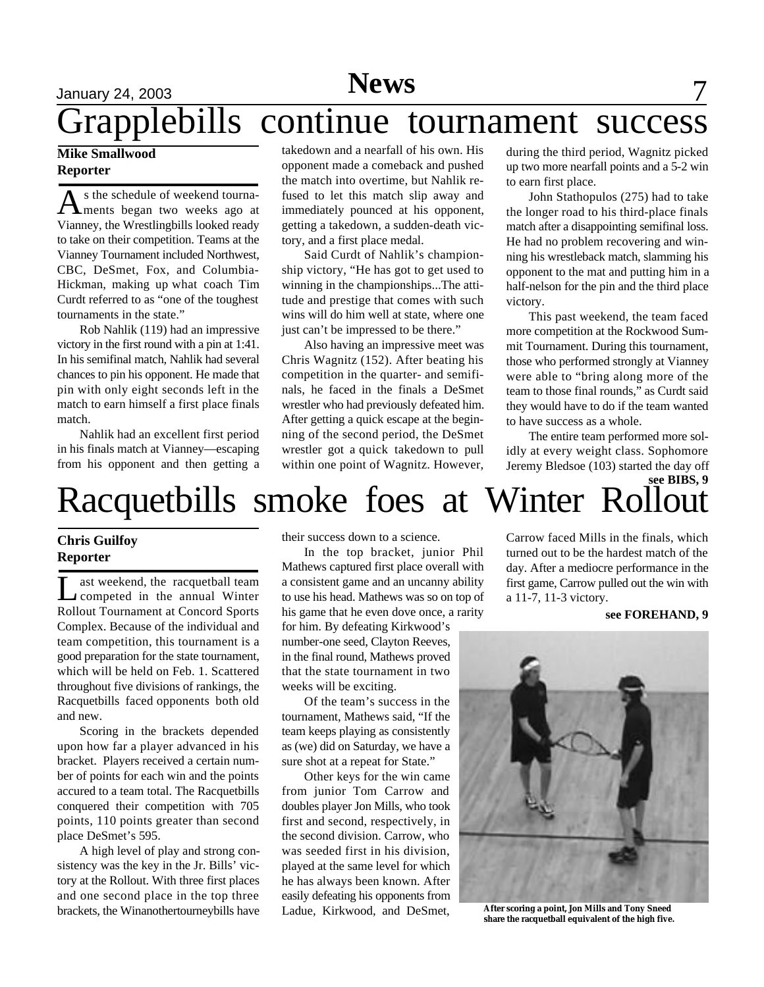# **News** January 24, 2003 **7**

# Grapplebills continue tournament success

### **Mike Smallwood Reporter**

A s the schedule of weekend tourna-<br>ments began two weeks ago at s the schedule of weekend tourna-Vianney, the Wrestlingbills looked ready to take on their competition. Teams at the Vianney Tournament included Northwest, CBC, DeSmet, Fox, and Columbia-Hickman, making up what coach Tim Curdt referred to as "one of the toughest tournaments in the state."

Rob Nahlik (119) had an impressive victory in the first round with a pin at 1:41. In his semifinal match, Nahlik had several chances to pin his opponent. He made that pin with only eight seconds left in the match to earn himself a first place finals match.

Nahlik had an excellent first period in his finals match at Vianney—escaping from his opponent and then getting a

takedown and a nearfall of his own. His opponent made a comeback and pushed the match into overtime, but Nahlik refused to let this match slip away and immediately pounced at his opponent, getting a takedown, a sudden-death victory, and a first place medal.

Said Curdt of Nahlik's championship victory, "He has got to get used to winning in the championships...The attitude and prestige that comes with such wins will do him well at state, where one just can't be impressed to be there."

Also having an impressive meet was Chris Wagnitz (152). After beating his competition in the quarter- and semifinals, he faced in the finals a DeSmet wrestler who had previously defeated him. After getting a quick escape at the beginning of the second period, the DeSmet wrestler got a quick takedown to pull within one point of Wagnitz. However, during the third period, Wagnitz picked up two more nearfall points and a 5-2 win to earn first place.

John Stathopulos (275) had to take the longer road to his third-place finals match after a disappointing semifinal loss. He had no problem recovering and winning his wrestleback match, slamming his opponent to the mat and putting him in a half-nelson for the pin and the third place victory.

This past weekend, the team faced more competition at the Rockwood Summit Tournament. During this tournament, those who performed strongly at Vianney were able to "bring along more of the team to those final rounds," as Curdt said they would have to do if the team wanted to have success as a whole.

The entire team performed more solidly at every weight class. Sophomore Jeremy Bledsoe (103) started the day off

## Racquetbills smoke foes at Winter Rollout **see BIBS, 9**

### **Chris Guilfoy Reporter**

Let us a state weekend, the racquetball team<br>competed in the annual Winter ast weekend, the racquetball team Rollout Tournament at Concord Sports Complex. Because of the individual and team competition, this tournament is a good preparation for the state tournament, which will be held on Feb. 1. Scattered throughout five divisions of rankings, the Racquetbills faced opponents both old and new.

Scoring in the brackets depended upon how far a player advanced in his bracket. Players received a certain number of points for each win and the points accured to a team total. The Racquetbills conquered their competition with 705 points, 110 points greater than second place DeSmet's 595.

A high level of play and strong consistency was the key in the Jr. Bills' victory at the Rollout. With three first places and one second place in the top three brackets, the Winanothertourneybills have their success down to a science.

In the top bracket, junior Phil Mathews captured first place overall with a consistent game and an uncanny ability to use his head. Mathews was so on top of his game that he even dove once, a rarity for him. By defeating Kirkwood's number-one seed, Clayton Reeves, in the final round, Mathews proved that the state tournament in two weeks will be exciting.

Of the team's success in the tournament, Mathews said, "If the team keeps playing as consistently as (we) did on Saturday, we have a sure shot at a repeat for State."

Other keys for the win came from junior Tom Carrow and doubles player Jon Mills, who took first and second, respectively, in the second division. Carrow, who was seeded first in his division, played at the same level for which he has always been known. After easily defeating his opponents from Ladue, Kirkwood, and DeSmet,

Carrow faced Mills in the finals, which turned out to be the hardest match of the day. After a mediocre performance in the first game, Carrow pulled out the win with a 11-7, 11-3 victory.

### **see FOREHAND, 9**



**After scoring a point, Jon Mills and Tony Sneed share the racquetball equivalent of the high five.**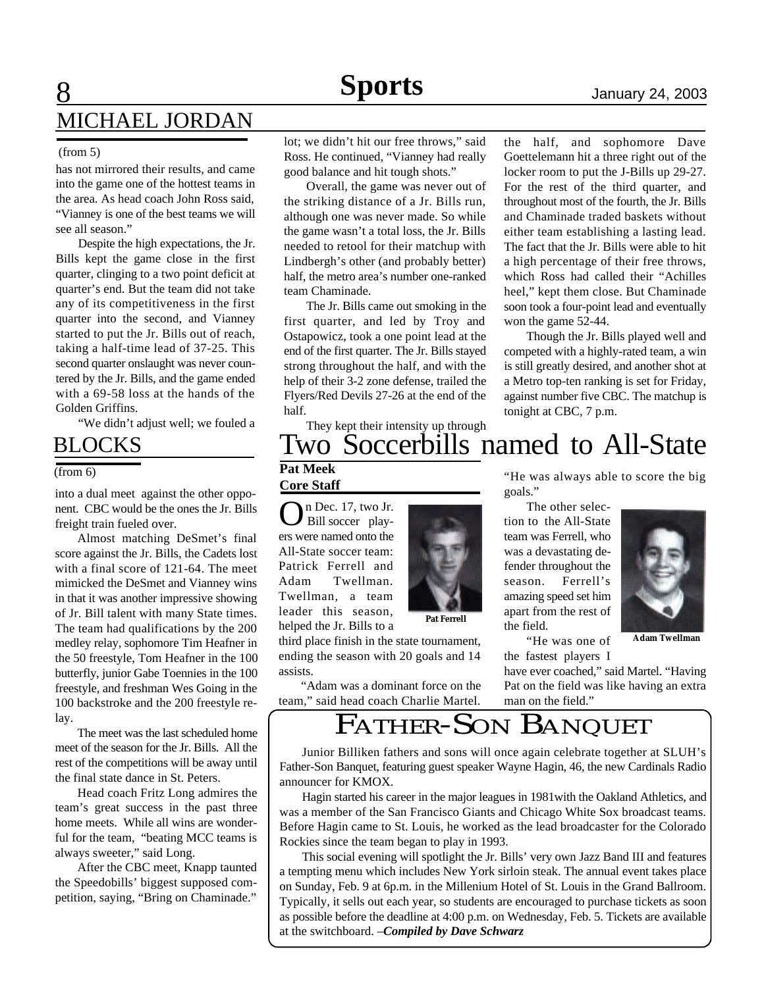# **8** 1anuary 24, 2003 MICHAEL JORDAN

### (from 5)

has not mirrored their results, and came into the game one of the hottest teams in the area. As head coach John Ross said, "Vianney is one of the best teams we will see all season."

Despite the high expectations, the Jr. Bills kept the game close in the first quarter, clinging to a two point deficit at quarter's end. But the team did not take any of its competitiveness in the first quarter into the second, and Vianney started to put the Jr. Bills out of reach, taking a half-time lead of 37-25. This second quarter onslaught was never countered by the Jr. Bills, and the game ended with a 69-58 loss at the hands of the Golden Griffins.

"We didn't adjust well; we fouled a

## BLOCKS

(from 6)

into a dual meet against the other opponent. CBC would be the ones the Jr. Bills freight train fueled over.

Almost matching DeSmet's final score against the Jr. Bills, the Cadets lost with a final score of 121-64. The meet mimicked the DeSmet and Vianney wins in that it was another impressive showing of Jr. Bill talent with many State times. The team had qualifications by the 200 medley relay, sophomore Tim Heafner in the 50 freestyle, Tom Heafner in the 100 butterfly, junior Gabe Toennies in the 100 freestyle, and freshman Wes Going in the 100 backstroke and the 200 freestyle relay.

The meet was the last scheduled home meet of the season for the Jr. Bills. All the rest of the competitions will be away until the final state dance in St. Peters.

Head coach Fritz Long admires the team's great success in the past three home meets. While all wins are wonderful for the team, "beating MCC teams is always sweeter," said Long.

After the CBC meet, Knapp taunted the Speedobills' biggest supposed competition, saying, "Bring on Chaminade."

lot; we didn't hit our free throws," said Ross. He continued, "Vianney had really good balance and hit tough shots."

Overall, the game was never out of the striking distance of a Jr. Bills run, although one was never made. So while the game wasn't a total loss, the Jr. Bills needed to retool for their matchup with Lindbergh's other (and probably better) half, the metro area's number one-ranked team Chaminade.

The Jr. Bills came out smoking in the first quarter, and led by Troy and Ostapowicz, took a one point lead at the end of the first quarter. The Jr. Bills stayed strong throughout the half, and with the help of their 3-2 zone defense, trailed the Flyers/Red Devils 27-26 at the end of the half.

They kept their intensity up through

Two Soccerbills named to All-State **Pat Meek**

## **Core Staff**

On Dec. 17, two Jr.<br>Bill soccer play-Bill soccer players were named onto the All-State soccer team: Patrick Ferrell and Adam Twellman. Twellman, a team leader this season, helped the Jr. Bills to a

third place finish in the state tournament, ending the season with 20 goals and 14 assists.

"Adam was a dominant force on the team," said head coach Charlie Martel.



the half, and sophomore Dave Goettelemann hit a three right out of the locker room to put the J-Bills up 29-27. For the rest of the third quarter, and throughout most of the fourth, the Jr. Bills and Chaminade traded baskets without either team establishing a lasting lead. The fact that the Jr. Bills were able to hit a high percentage of their free throws, which Ross had called their "Achilles heel," kept them close. But Chaminade soon took a four-point lead and eventually won the game 52-44.

Though the Jr. Bills played well and competed with a highly-rated team, a win is still greatly desired, and another shot at a Metro top-ten ranking is set for Friday, against number five CBC. The matchup is tonight at CBC, 7 p.m.

"He was always able to score the big goals."

The other selection to the All-State team was Ferrell, who was a devastating defender throughout the season. Ferrell's amazing speed set him apart from the rest of the field.

"He was one of the fastest players I

have ever coached," said Martel. "Having Pat on the field was like having an extra man on the field."

FATHER-SON BANQUET

Junior Billiken fathers and sons will once again celebrate together at SLUH's Father-Son Banquet, featuring guest speaker Wayne Hagin, 46, the new Cardinals Radio announcer for KMOX.

Hagin started his career in the major leagues in 1981with the Oakland Athletics, and was a member of the San Francisco Giants and Chicago White Sox broadcast teams. Before Hagin came to St. Louis, he worked as the lead broadcaster for the Colorado Rockies since the team began to play in 1993.

This social evening will spotlight the Jr. Bills' very own Jazz Band III and features a tempting menu which includes New York sirloin steak. The annual event takes place on Sunday, Feb. 9 at 6p.m. in the Millenium Hotel of St. Louis in the Grand Ballroom. Typically, it sells out each year, so students are encouraged to purchase tickets as soon as possible before the deadline at 4:00 p.m. on Wednesday, Feb. 5. Tickets are available at the switchboard. –*Compiled by Dave Schwarz*

**Adam Twellman**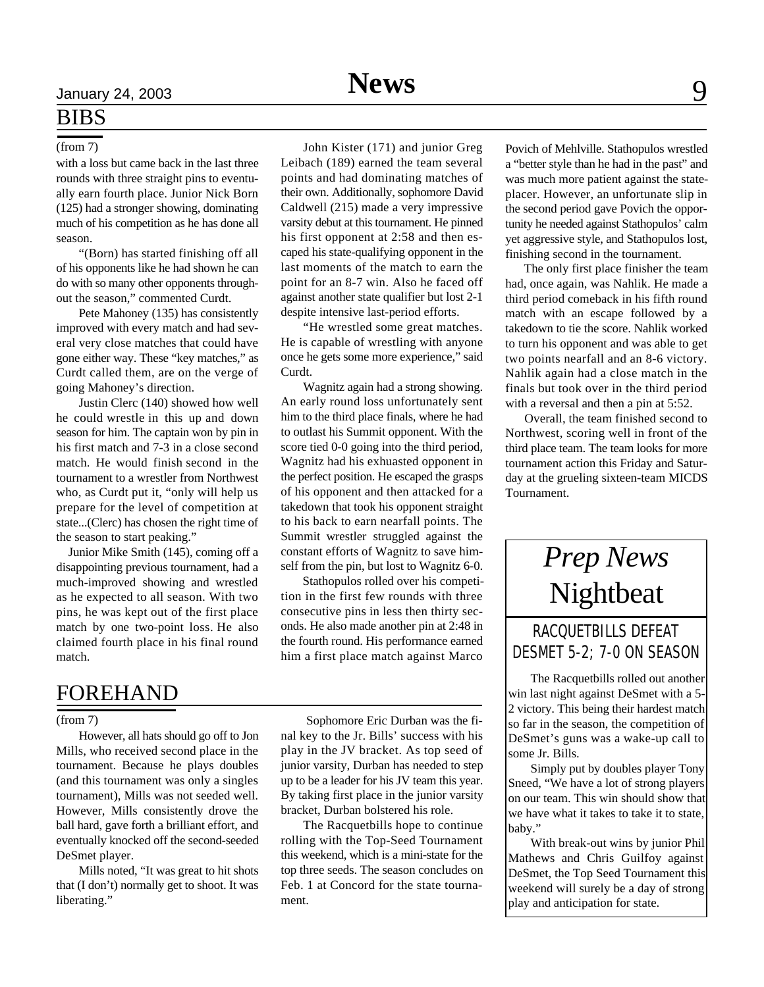### (from 7)

with a loss but came back in the last three rounds with three straight pins to eventually earn fourth place. Junior Nick Born (125) had a stronger showing, dominating much of his competition as he has done all season.

"(Born) has started finishing off all of his opponents like he had shown he can do with so many other opponents throughout the season," commented Curdt.

Pete Mahoney (135) has consistently improved with every match and had several very close matches that could have gone either way. These "key matches," as Curdt called them, are on the verge of going Mahoney's direction.

Justin Clerc (140) showed how well he could wrestle in this up and down season for him. The captain won by pin in his first match and 7-3 in a close second match. He would finish second in the tournament to a wrestler from Northwest who, as Curdt put it, "only will help us prepare for the level of competition at state...(Clerc) has chosen the right time of the season to start peaking."

 Junior Mike Smith (145), coming off a disappointing previous tournament, had a much-improved showing and wrestled as he expected to all season. With two pins, he was kept out of the first place match by one two-point loss. He also claimed fourth place in his final round match.

## FOREHAND

### (from 7)

However, all hats should go off to Jon Mills, who received second place in the tournament. Because he plays doubles (and this tournament was only a singles tournament), Mills was not seeded well. However, Mills consistently drove the ball hard, gave forth a brilliant effort, and eventually knocked off the second-seeded DeSmet player.

Mills noted, "It was great to hit shots that (I don't) normally get to shoot. It was liberating."

John Kister (171) and junior Greg Leibach (189) earned the team several points and had dominating matches of their own. Additionally, sophomore David Caldwell (215) made a very impressive varsity debut at this tournament. He pinned his first opponent at 2:58 and then escaped his state-qualifying opponent in the last moments of the match to earn the point for an 8-7 win. Also he faced off against another state qualifier but lost 2-1 despite intensive last-period efforts.

"He wrestled some great matches. He is capable of wrestling with anyone once he gets some more experience," said Curdt.

Wagnitz again had a strong showing. An early round loss unfortunately sent him to the third place finals, where he had to outlast his Summit opponent. With the score tied 0-0 going into the third period, Wagnitz had his exhuasted opponent in the perfect position. He escaped the grasps of his opponent and then attacked for a takedown that took his opponent straight to his back to earn nearfall points. The Summit wrestler struggled against the constant efforts of Wagnitz to save himself from the pin, but lost to Wagnitz 6-0.

 Stathopulos rolled over his competition in the first few rounds with three consecutive pins in less then thirty seconds. He also made another pin at 2:48 in the fourth round. His performance earned him a first place match against Marco

 Sophomore Eric Durban was the final key to the Jr. Bills' success with his play in the JV bracket. As top seed of junior varsity, Durban has needed to step up to be a leader for his JV team this year. By taking first place in the junior varsity bracket, Durban bolstered his role.

The Racquetbills hope to continue rolling with the Top-Seed Tournament this weekend, which is a mini-state for the top three seeds. The season concludes on Feb. 1 at Concord for the state tournament.

Povich of Mehlville. Stathopulos wrestled a "better style than he had in the past" and was much more patient against the stateplacer. However, an unfortunate slip in the second period gave Povich the opportunity he needed against Stathopulos' calm yet aggressive style, and Stathopulos lost, finishing second in the tournament.

 The only first place finisher the team had, once again, was Nahlik. He made a third period comeback in his fifth round match with an escape followed by a takedown to tie the score. Nahlik worked to turn his opponent and was able to get two points nearfall and an 8-6 victory. Nahlik again had a close match in the finals but took over in the third period with a reversal and then a pin at 5:52.

 Overall, the team finished second to Northwest, scoring well in front of the third place team. The team looks for more tournament action this Friday and Saturday at the grueling sixteen-team MICDS Tournament.

# *Prep News* Nightbeat

### RACQUETBILLS DEFEAT DESMET 5-2; 7-0 ON SEASON

The Racquetbills rolled out another win last night against DeSmet with a 5- 2 victory. This being their hardest match so far in the season, the competition of DeSmet's guns was a wake-up call to some Jr. Bills.

Simply put by doubles player Tony Sneed, "We have a lot of strong players on our team. This win should show that we have what it takes to take it to state, baby."

With break-out wins by junior Phil Mathews and Chris Guilfoy against DeSmet, the Top Seed Tournament this weekend will surely be a day of strong play and anticipation for state.